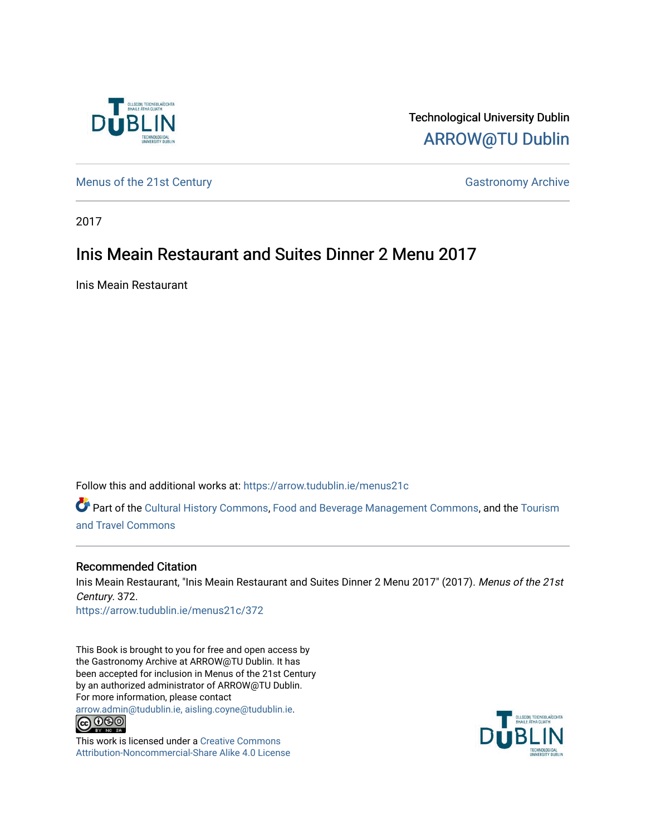

Technological University Dublin [ARROW@TU Dublin](https://arrow.tudublin.ie/) 

[Menus of the 21st Century](https://arrow.tudublin.ie/menus21c) Gastronomy Archive

2017

# Inis Meain Restaurant and Suites Dinner 2 Menu 2017

Inis Meain Restaurant

Follow this and additional works at: [https://arrow.tudublin.ie/menus21c](https://arrow.tudublin.ie/menus21c?utm_source=arrow.tudublin.ie%2Fmenus21c%2F372&utm_medium=PDF&utm_campaign=PDFCoverPages) 

Part of the [Cultural History Commons](http://network.bepress.com/hgg/discipline/496?utm_source=arrow.tudublin.ie%2Fmenus21c%2F372&utm_medium=PDF&utm_campaign=PDFCoverPages), [Food and Beverage Management Commons,](http://network.bepress.com/hgg/discipline/1089?utm_source=arrow.tudublin.ie%2Fmenus21c%2F372&utm_medium=PDF&utm_campaign=PDFCoverPages) and the [Tourism](http://network.bepress.com/hgg/discipline/1082?utm_source=arrow.tudublin.ie%2Fmenus21c%2F372&utm_medium=PDF&utm_campaign=PDFCoverPages) [and Travel Commons](http://network.bepress.com/hgg/discipline/1082?utm_source=arrow.tudublin.ie%2Fmenus21c%2F372&utm_medium=PDF&utm_campaign=PDFCoverPages)

## Recommended Citation

Inis Meain Restaurant, "Inis Meain Restaurant and Suites Dinner 2 Menu 2017" (2017). Menus of the 21st Century. 372.

[https://arrow.tudublin.ie/menus21c/372](https://arrow.tudublin.ie/menus21c/372?utm_source=arrow.tudublin.ie%2Fmenus21c%2F372&utm_medium=PDF&utm_campaign=PDFCoverPages) 

This Book is brought to you for free and open access by the Gastronomy Archive at ARROW@TU Dublin. It has been accepted for inclusion in Menus of the 21st Century by an authorized administrator of ARROW@TU Dublin. For more information, please contact

[arrow.admin@tudublin.ie, aisling.coyne@tudublin.ie](mailto:arrow.admin@tudublin.ie,%20aisling.coyne@tudublin.ie).<br>
co 060



This work is licensed under a [Creative Commons](http://creativecommons.org/licenses/by-nc-sa/4.0/) [Attribution-Noncommercial-Share Alike 4.0 License](http://creativecommons.org/licenses/by-nc-sa/4.0/)

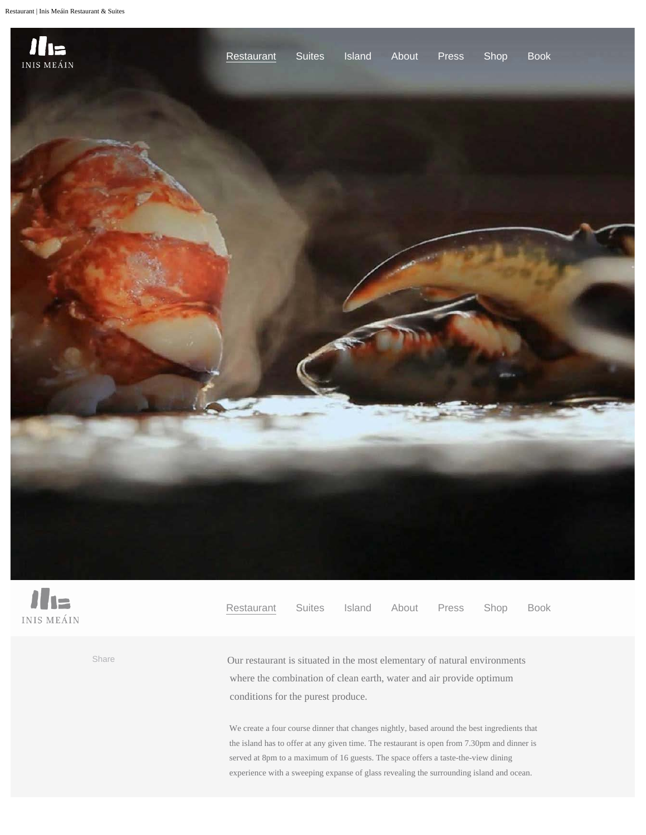



[Restaurant](http://inismeain.com/restaurant) [Suites](http://inismeain.com/suites) [Island](http://inismeain.com/island) [About](http://inismeain.com/about) [Press](http://inismeain.com/press) [Shop](http://inismeain.com/shop/products) [Book](http://inismeain.com/book)

[Share](http://inismeain.com/restaurant#tabs-3) Our restaurant is situated in the most elementary of natural environments where the combination of clean earth, water and air provide optimum conditions for the purest produce.

> We create a four course dinner that changes nightly, based around the best ingredients that the island has to offer at any given time. The restaurant is open from 7.30pm and dinner is served at 8pm to a maximum of 16 guests. The space offers a taste-the-view dining experience with a sweeping expanse of glass revealing the surrounding island and ocean.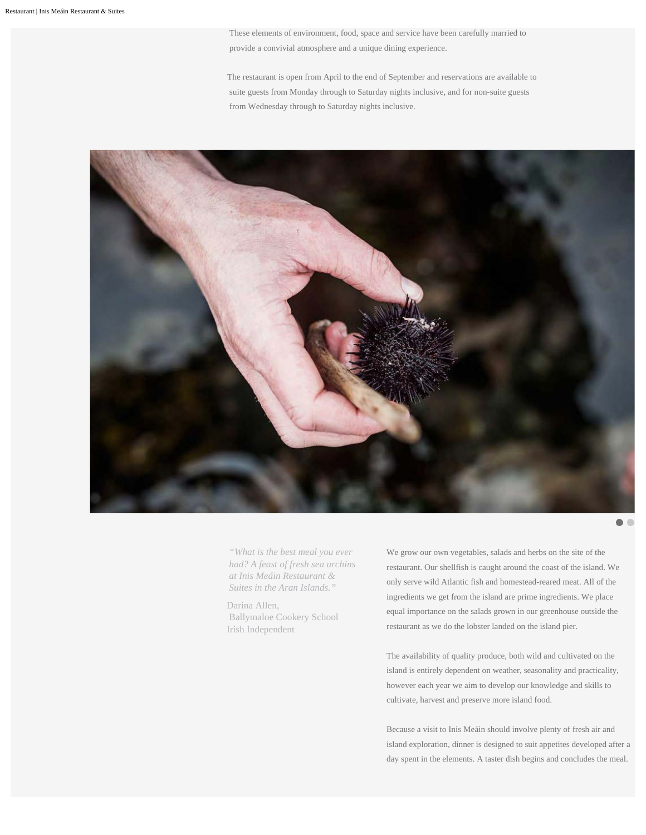These elements of environment, food, space and service have been carefully married to provide a convivial atmosphere and a unique dining experience.

The restaurant is open from April to the end of September and reservations are available to suite guests from Monday through to Saturday nights inclusive, and for non-suite guests from Wednesday through to Saturday nights inclusive.



*"What is the best meal you ever had? A feast of fresh sea urchins at Inis Meáin Restaurant & Suites in the Aran Islands."*

Darina Allen, Ballymaloe Cookery School Irish Independent

We grow our own vegetables, salads and herbs on the site of the restaurant. Our shellfish is caught around the coast of the island. We only serve wild Atlantic fish and homestead-reared meat. All of the ingredients we get from the island are prime ingredients. We place equal importance on the salads grown in our greenhouse outside the restaurant as we do the lobster landed on the island pier.

The availability of quality produce, both wild and cultivated on the island is entirely dependent on weather, seasonality and practicality, however each year we aim to develop our knowledge and skills to cultivate, harvest and preserve more island food.

Because a visit to Inis Meáin should involve plenty of fresh air and island exploration, dinner is designed to suit appetites developed after a day spent in the elements. A taster dish begins and concludes the meal.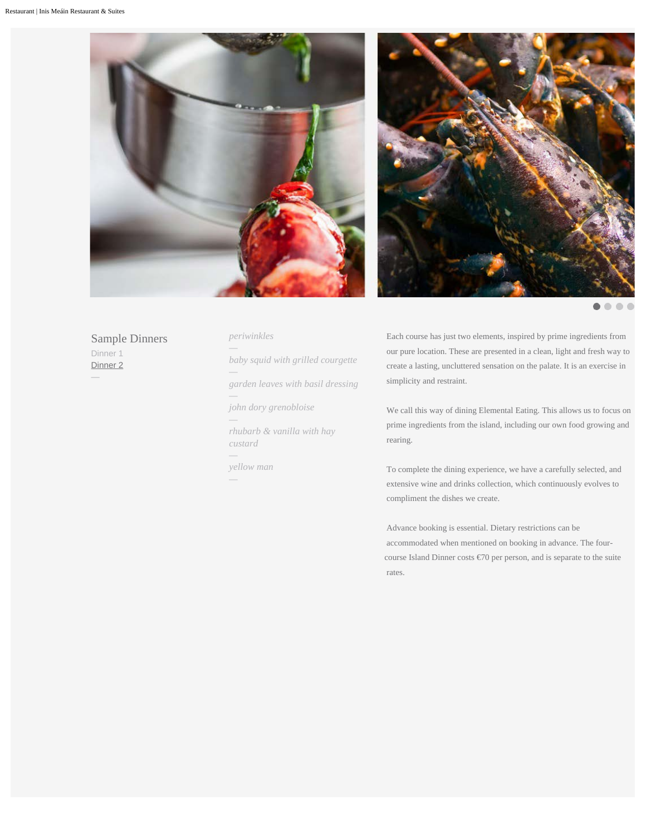



Sample Dinners Dinner 1 Dinner 2 —

#### *periwinkles*

*baby squid with grilled courgette garden leaves with basil dressing john dory grenobloise rhubarb & vanilla with hay custard yellow man* 

Each course has just two elements, inspired by prime ingredients from our pure location. These are presented in a clean, light and fresh way to create a lasting, uncluttered sensation on the palate. It is an exercise in simplicity and restraint.

 $0.0.0$ 

We call this way of dining Elemental Eating. This allows us to focus on prime ingredients from the island, including our own food growing and rearing.

To complete the dining experience, we have a carefully selected, and extensive wine and drinks collection, which continuously evolves to compliment the dishes we create.

Advance booking is essential. Dietary restrictions can be accommodated when mentioned on booking in advance. The fourcourse Island Dinner costs €70 per person, and is separate to the suite rates.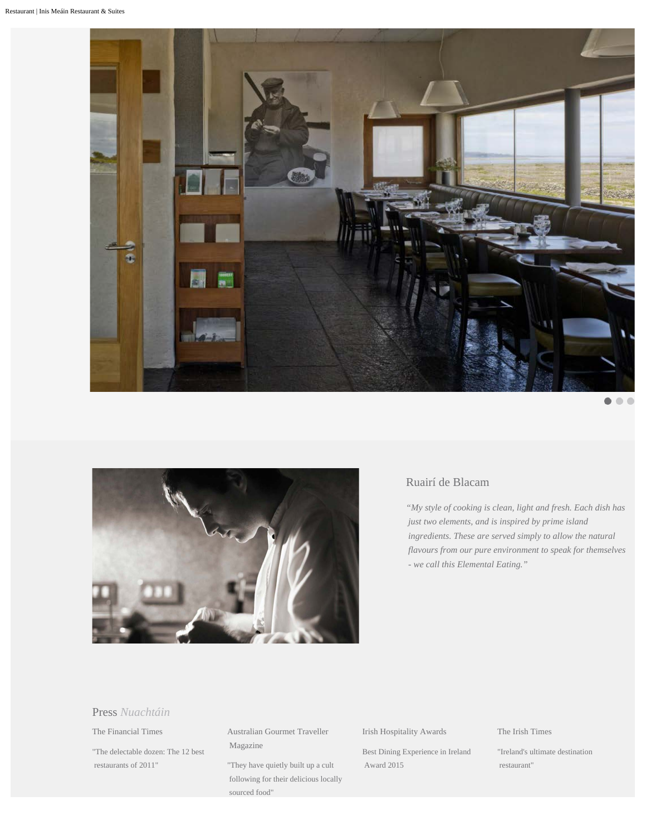

 $\bullet$   $\bullet$   $\bullet$ 



### Ruairí de Blacam

*"My style of cooking is clean, light and fresh. Each dish has just two elements, and is inspired by prime island ingredients. These are served simply to allow the natural flavours from our pure environment to speak for themselves - we call this Elemental Eating."*

#### Press *Nuachtáin*

The Financial Times

"The delectable dozen: The 12 best restaurants of 2011"

Australian Gourmet Traveller Magazine

"They have quietly built up a cult following for their delicious locally sourced food"

Irish Hospitality Awards

Best Dining Experience in Ireland Award 2015

#### The Irish Times

"Ireland's ultimate destination restaurant"